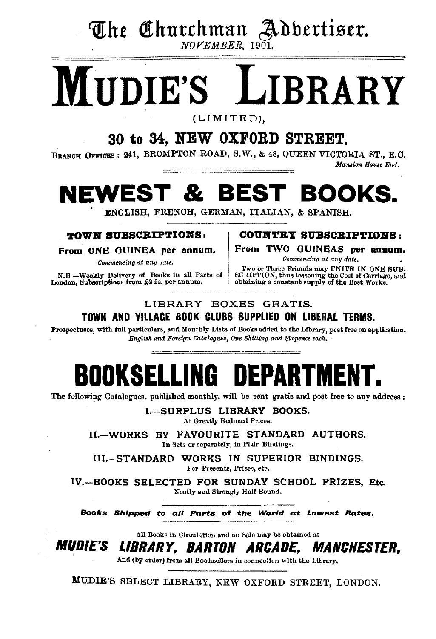# The Churchman Adbertiser. NOVEMBER. 1901.

# **LIBRARY IIDIE'S**

 $(LIMITED).$ 

# 30 to 34. NEW OXFORD STREET.

BRANCH OFFICES: 241, BROMPTON ROAD, S.W., & 48, QUEEN VICTORIA ST., E.C.

Mansion House End.

## Г & BEST BOOKS. FWES<sup>.</sup>

ENGLISH, FRENCH, GERMAN, ITALIAN, & SPANISH.

### TOWN SUBSCRIPTIONS:

From ONE GUINEA per annum.

Commencing at any date.

N.B.-Weekly Delivery of Books in all Parts of London, Subscriptions from £2 2s. per annum.

**COUNTRY SUBSCRIPTIONS:** 

From TWO GUINEAS per annum.

Commencing at any date.

Two or Three Friends may UNITE IN ONE SUB-SCRIPTION, thus lessening the Cost of Carriage, and obtaining a constant supply of the Bost Works.

## LIBRARY BOXES GRATIS. TOWN AND VILLACE BOOK CLUBS SUPPLIED ON LIBERAL TERMS.

Prospectuses, with full particulars, and Monthly Lists of Books added to the Library, post free on application. English and Foreign Catalogues, One Shilling and Sixpence each,

# **BOOKSELLING DEPARTMEN**

The following Catalogues, published monthly, will be sent gratis and post free to any address;

I.-SURPLUS LIBRARY BOOKS. At Greatly Reduced Prices.

II.-WORKS BY FAVOURITE STANDARD AUTHORS. In Sets or separately, in Plain Bindings.

III.-STANDARD WORKS IN SUPERIOR BINDINGS. For Presents, Prizes, etc.

IV.-BOOKS SELECTED FOR SUNDAY SCHOOL PRIZES, Etc. Neatly and Strongly Half Bound.

Books Shipped to all Parts of the World at Lowest Rates.

All Books in Circulation and on Sale may be obtained at

*MUDIE'S* LIBRARY. BARTON ARCADE. MANCHESTER.

And (by order) from all Booksellers in connection with the Library.

MUDIE'S SELECT LIBRARY, NEW OXFORD STREET, LONDON.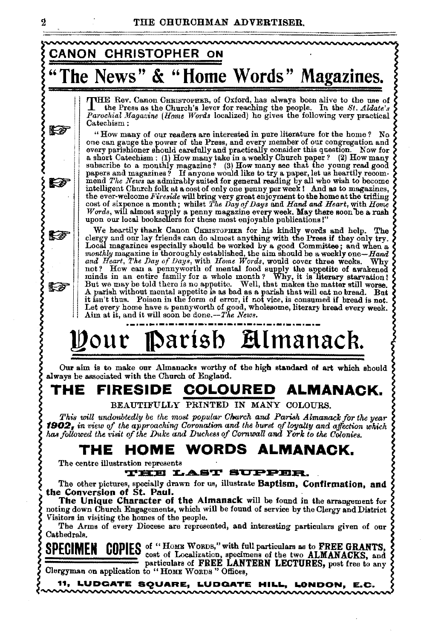

 $\boldsymbol{2}$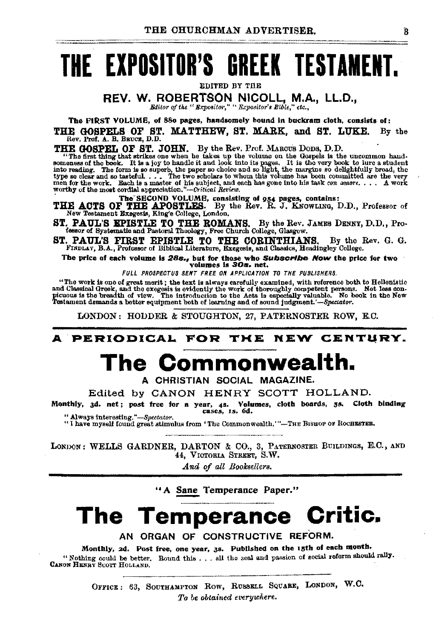# THE EXPOSITOR'S GREEK TESTAMENT.

EDITED BY THE

REV. W. ROBERTSON NICOLL, M.A., LL.D.,

Editor of the "Bxpositor." "Expositor's Bible." etc.,

The FIRST VOLUME, of 880 pages, handsomely bound in buckram cloth, consists of:  $B\nabla$  the

THE GOSPELS OF ST. MATTHEW, ST. MARK, and ST. LUKE. Rev. Prof. A. B. BRUCE, D.D.

THE GOSTELL OF ST. JOHN. By the Rev. Prof. MAROUS DODS, D.D.<br>"The first thing that strikes one when be takes up the volume on the Gospels is the uncommon hand-<br>someness of the book. It is a joy to handle it and look into i

The SECOND VOLUME, consisting of 954 pages, contains:<br>THE ACTS OF THE APOSTLES. By the Rev. R. J. KNOWLING, D.D., Professor of<br>New Testament Exegests, King's College, London.

ST. PAUL'S EPISTLE TO THE ROMANS. By the Rev. JAMES DENNY, D.D., Pro-fessor of Systematic and Pastoral Theology, Free Church College, Glasgow.

ST. PAUL'S FIRST EPISTLE TO THE CORINTHIANS. By the Rev. G. G. FINDLAY, B.A., Professor of Biblical Literature, Exegesis, and Classics, Headingley College.

The price of each volume is 28s., but for those who Subscribe Now the price for two volumes is 30s. net.

FULL PROSPECTUS SENT FREE ON APPLICATION TO THE PUBLISHERS.

"The work is one of great merit; the text is always carefully examined, with reference both to Hellenistic and Classical Greek, and the except is evidently the work of thoroughly competent persons. Not less contributions

LONDON: HODDER & STOUGHTON, 27, PATERNOSTER ROW, E.C.

## A PERIODICAL FOR THE NEW CENTURY.

# The Commonwealth.

A CHRISTIAN SOCIAL MAGAZINE.

Edited by CANON HENRY SCOTT HOLLAND.

Monthly, 3d. net; post free for a year, 4s. Volumes, cloth boards, 5s. Cloth binding<br>cases, 1s. 6d. " Always interesting,"-Spectator.

"I have myself found great stimulus from 'The Commonwealth.'"-THE BISHOP OF ROCHESTER.

LONDON: WELLS GARDNER, DARTON & CO., 3, PATERNOSTER BUILDINGS, E.C., AND 44, VICTORIA STREET, S.W.

And of all Booksellers.

"A Sane Temperance Paper."

# The Temperance Critic.

AN ORGAN OF CONSTRUCTIVE REFORM.

Monthly, 2d. Post free, one year, 3s. Published on the 15th of each month. "Nothing could be better. Round this . . . all the zeal and passion of social reform should rally.<br>CANON HENRY SCOTT HOLLAND.

> OFFICE: 63, SOUTHAMPTON ROW, RUSSELL SQUARE, LONDON, W.C. To be obtained everywhere.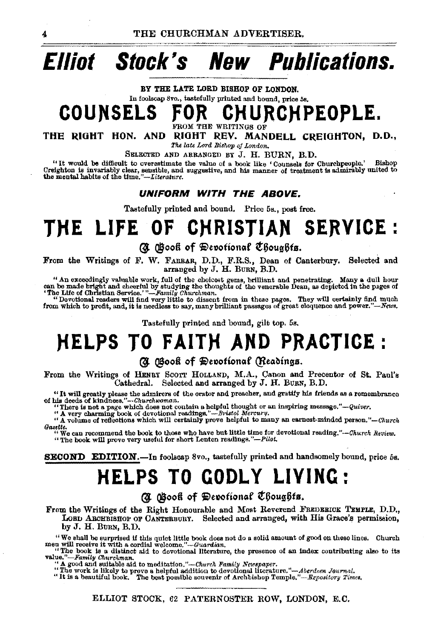# **Elliot Stock's New Publications.**

BY THE LATE LORD BISHOP OF LONDON.

In foolscap Svo., tastefully printed and bound, price 58,

**COUNSELS** fO~ **CHURCHPEOPLE.** 

OM THE WRITINGS OF

THE RIGHT HON. AND RIGHT REV. MANDELL CREIGHTON, D.D., *The late Lord Bishop oj London.* 

SELECTED AND ARRANGED BY J. H. BURN, B.D.<br>"It would be difficult to overestimate the value of a book like 'Counsels for Churchpeople." "It would be difficult to overestimate the value of a book like 'Counsels for Churchpeople.' Bishop Creighton is invariably clear, sensible, and dis manner of treatment is admirably united to the mental habits of the time

### **UNIFORM WITH THE ABOVE.**

Tastefully printed and bound. Price 5s., post free.

# THE LIFE OF CHRISTIAN SERVICE :

### @. @ooft of 9iVtt~ofion~f t6oug6ts.

From the Writings of F. W. FARRAR, D.D., F.R.S., Dean of Canterbury. Selected and arranged by J. H. BURN, B.D.

"An exceedingly valuable work, full of the choicest gems, brilliant and penetrating. Many a dull hour can be made bright and cheerful by studying the thoughts of the venerable Dean, as depicted in the pages of "The Life o

from which to profit, and, it is needless to say, many brilliant passages of great eloquence and power."-News.

Tastefully printed and bound, gilt top. 5s.

# **HELPS TO FAITH AND PRACTICE:**

### @. @ooft of 9iVtt~otion~f (!ltClblttgs.

From the Writings of HENRY SCOTT HOLLAND, M.A., Canon and Precentor of St. Paul's Cathedral. Selected and arranged by J. H. BUBN, B.D.

"It will greatly please the admirers of the orator and preacher, and gratify his friends as a remembrance of his deads of *klndness."--Ohurcluooman.* 

"There is not a page which does not contain a helpful thought or an inspiring message." $-Quiver$ . "A very charming book of devotional readings." $-Bristol$  Mercury.

" A volume of reflections which will certainly prove helpful to many an earnest-minded person."-Church

*Gazette.* "We can recommend the book to those who have but little time for devotional reading."--Okurch *Review.* " The book will prove very useful for short Lenten readings."-Pilot.

SECOND EDITION. - In foolscap 8vo., tastefully printed and handsomely bound, price 5s.

# **HELPS TO GODLY LIVING:**

@. @ooft of 9iVtt10fion(lf t~oug6ts.

From the Writings of the Right Honourable and Most Reverend FREDEEICK TEMPLE, D.D., LOBID ARCHBISHOP OF CANTERBURY. Selected and arranged, with His Grace's permission, by J. H. BURN, B.D.

We shall be surprised if this quict little book does not do a solid amount of good on these lines. Church ment will receive it with a cordial welcome."-Guardan.<br>men will receive it with a cordial welcome. "The book is a d

value."-Family *Ohurckman.* 

"A good and suitable aid to meditation."—Church Family Netespaper.<br>"The work is likely to prove a helpful addition to devotional literature."—Aberdeen Journal.<br>"It is a beautiful book. The best possible souvenir of Archbis

ELLIOT STOCK, 62 PATERNOSTER ROW, LONDON, E.C.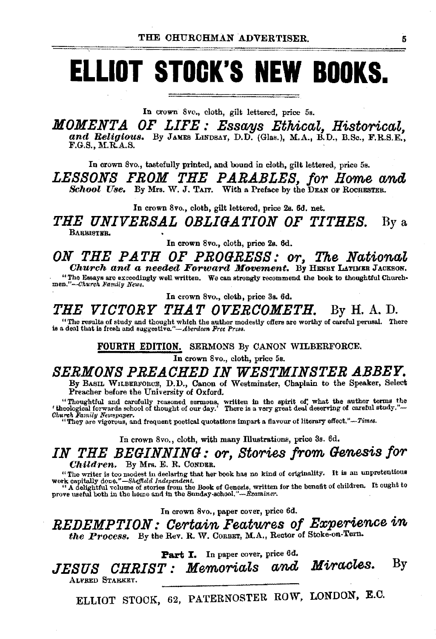# **ELLIOT STOCK'S NEW BOOKS.**

In crown 8vo., cloth, gilt lettered, price 5s.

*MOMENTA OF LIFE : Essays Ethical, Historical,* and Religious. By Janes LINDSAY, D.D. (Glas.), M.A., B.D., B.Sc., F.R.S.E., F.G.S.

In crown Svo., tastefully printed, and bound in cloth, gilt lettered, price 5s.

LESSONS FROM THE PARABLES, for Home and School Use. By Mrs. W. J. TAIT. With a Preface by the DEAN OF ROCHESTER.

In crown Svo., cloth, gilt lettered, price 2s. 6d. net.

*THE UNIVERSAL OBLIGATION OF TITHES.* By a BARBISTER.

In crown Svo., cloth, price 2s. 6d.

*ON THE PATH OF PROGRESS: or, The National Church and a needed Forward Movement*. By HENRY LATIMBR JACKSON.

"The Essays are exceedingly well written. We can strongly recommend the book to thonghtful Church• men."-Church Family News.

In crown Svo., cloth, price 3a. 6d.

*THE VICTORY THAT OVERCOMETH.* By H. A. D.

"The results of study and thought which the author modestly offers are worthy of careful perusal. There is a deal that is fresh and suggestive."—*Aberdeen Pree Press*.

FOURTH EDITION. SERMONS By CANON WILBERFORCE.

In crown 8vo., cloth, price 5s.

## *SERMONS PREACHED IN WESTMINSTER ABBEY.*

By BAsiL WILBERFORCE, D.D., Canon of Westminster, Chaplain to the Speaker, Select Preacher before the University of Oxford.

"Thonghtful and carefully reasoned sermons, written in the spirit o1; what the author terms the 'theological forwards school of thought of our day.' There is a very great deal deserving of careful study.''- *Churc" Family Nemspaptr.* "They are vigorous, and frequent poetical quotations impart a flavour of literary *effect."-Times.* 

In crown 8vo., cloth, with many Illustrations, price 3s. 6d.

*IN THE BEGINNING: or, Stories from Genesis for* Children. By Mrs. E. R. CoNDER.

"The writer is too modest in declaring that her book has no kind of originality. It is an unpretentious

work capitally done."—*Sheffield Independent.*<br>"A delightful volume of stories from the Book of Genesis, written for the benefit of children. It ought to<br>prove useful both in the home and in the Sunday-school."—*Examiner*.

In crown Svo., paper cover, price 6d.

*REDEMPTION: Certain Featwres of Ezperience in*  the Process. By the Rev. R. W. CORBET, M.A., Rector of Stoke-on-Tern.

Part I. In paper cover, price 6d.

*JESUS CHRIST: Memorials and Miracles.* By ALFRED STARKEY.

ELLIOT STOCK, 62, PATERNOSTER ROW, LONDON, E.C.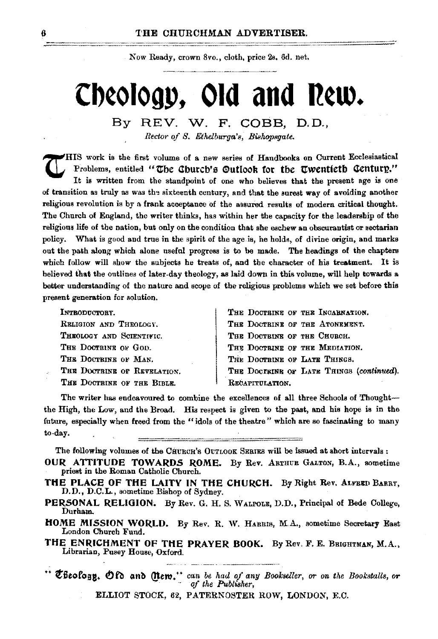Now Ready, crown 8vo., cloth, price 2s, 6d. net.

# Cheology, Old and New.

#### By REV. W. F. COBB. D.D., Rector of S. Ethelburga's, Bishopsgate.

 $\blacktriangleright$  HIS work is the first volume of a new series of Handbooks on Current Ecclesiastical Problems, entitled "The Church's Qutlook for the Twentieth Century." It is written from the standpoint of one who believes that the present age is one of transition as truly as was the sixteenth century, and that the surest way of avoiding another religious revolution is by a frank acceptance of the assured results of modern critical thought. The Church of England, the writer thinks, has within her the capacity for the leadership of the religious life of the nation, but only on the condition that she eschew an obscurantist or sectarian policy. What is good and true in the spirit of the age is, he holds, of divine origin, and marks out the path along which alone useful progress is to be made. The headings of the chapters which follow will show the subjects he treats of, and the character of his treatment. It is believed that the outlines of later-day theology, as laid down in this volume, will help towards a better understanding of the nature and scope of the religious problems which we set before this present generation for solution.

| INTRODUCTORY.               | THE DOCTRINE OF THE INCARNATION.         |
|-----------------------------|------------------------------------------|
| RELIGION AND THEOLOGY.      | THE DOCTRINE OF THE ATONEMENT.           |
| THEOLOGY AND SCIENTIVIC.    | THE DOCTRINE OF THE CHURCH.              |
| THE DOCTRINE OF GOD.        | THE DOCTRINE OF THE MEDIATION.           |
| THE DOCTRINE OF MAN.        | THE DOCTRINE OF LATE THINGS.             |
| THE DOCTRINE OF REVELATION. | THE DOCTRINE OF LATE THINGS (continued). |
| THE DOCTRINE OF THE BIBLE.  | RECAPITULATION.                          |

The writer has endeavoured to combine the excellences of all three Schools of Thoughtthe High, the Low, and the Broad. His respect is given to the past, and his hope is in the future, especially when freed from the "idols of the theatre" which are so fascinating to many to-day.

The following volumes of the CHURCH's OUTLOOK SERIES will be issued at short intervals:

- OUR ATTITUDE TOWARDS ROME. By Rev. ARTHUB GALTON, B.A., sometime priest in the Roman Catholic Church.
- THE PLACE OF THE LAITY IN THE CHURCH. By Right Rev. ALFEED BARRY, D.D., D.C.L., sometime Bishop of Sydney.
- PERSONAL RELIGION. By Rev. G. H. S. WALPOLE, D.D., Principal of Bede College, Durham.
- HOME MISSION WORLD. By Rev. R. W. HABBIS, M.A., sometime Secretary East London Church Fund.
- THE ENRICHMENT OF THE PRAYER BOOK. By Rev. F. E. BRIGHTMAN, M.A., Librarian, Pusey House, Oxford.

" Theology. Of and Mem." can be had of any Bookseller, or on the Bookstalls, or of the Publisher,

ELLIOT STOCK, 62, PATERNOSTER ROW, LONDON, E.C.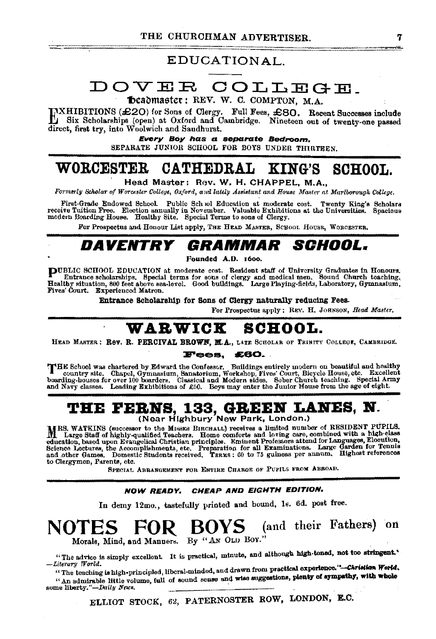## EDUCATIONAL.

# DOVER COLLEGE.

Deadmaster: REV. W. C. COMPTON, M.A.

TXHIBITIONS (£20) for Sons of Clergy. Full Fees, £80. Recent Successes include<br>1. Six Scholarships (open) at Oxford and Cambridge. Nineteen out of twenty-one passed direct, first try, into Woolwich and Saudhurst.

> Every Boy has a separate Bedroom. SEPARATE JUNIOR SCHOOL FOR BOYS UNDER THIRTEEN

#### WORCESTER **CATHEDRAL** KING'S **SCHOOL**

Head Master: Rev. W. H. CHAPPEL. M.A..

Formerly Scholar of Worcester College, Oxford, and lately Assistant and House Master at Martborough College.

First-Grade Endowed School. Public School Education at moderate cost. Twenty King's Scholars receive Tuition Free. Election annually in November. Valuable Exhibitions at the Universities. Spacious modern Boarding House. Healthy Site. Special Terms to sons of Clergy.

For Prospectus and Honour List apply, THE HEAD MASTER, SCHOOL HOUSE, WORCESTER.

#### *DAVENTRY GRAMMAR SCHOOL.*

Founded A.D. 1600.

DUBLIC SCHOOL EDUCATION at moderate cost. Resident staff of University Graduates in Honours. Entrance scholarships. Special terms for sons of clergy and medical men. Sound Church teaching.<br>Healthy situation, 800 feet above sea-level. Good buildings. Large Playing-fields, Laboratory, Gymnasium, Fives' Court. Experienced Matron.

Entrance Scholarship for Sons of Clergy naturally reducing Fees.

For Prospectus apply: REV. H. JOHNSON, Head Master.

## WARWICK SCHOOL.

HEAD MASTER: Rev. R. PERCIVAL BROWN, M.A., LATE SCHOLAR OF TRINITY COLLEGE, CAMBRIDGE.

#### **Fees, £60.**

THE School was chartered by Edward the Confessor. Buildings entirely modern on beautiful and healthy country site. Chapel, Gymnasium, Sanatorium, Workshop, Fives' Court, Bicycle House, etc. Excellent boarding-houses for ov and Nayy classes. Leading Exhibitions of £50. Boys may enter the Junior House from the age of eight.

# THE FERNS, 133, GREEN LANES, N.<br>(Near Highbury New Park, London.)

MRS. WATKINS (successor to the Missrs Birchall) receives a limited number of RESIDENT PUPILS.<br>M. Large Staff of highly-qualified Teachers. Home comforts and loving care, combined with a high-class and consider the magnitude of the momentum community and the consideration of the state of the state of the state of the state of the state of the state of the state of the state of the state of the state of the state of t to Clergymen, Parents, etc.

SPECIAL ABRANGEMENT FOR ENTIRE CHARGE OF PUPILS FROM ABBOAD.

#### NOW READY, CHEAP AND EIGHTH EDITION.

In demy 12mo., tastefully printed and bound, 1s. 6d. post free.

### BOYS (and their Fathers) on NOTES Morals, Mind, and Manners. By "AN OLD BOY."

"The advice is simply excellent. It is practical, minute, and although high-toned, not too stringent," -Literary World.

"The teaching is high-principled, liberal-minded, and drawn from practical experience."-Christian World, "An admirable little volume, full of sound sense and wise suggestions, plenty of sympathy, with whole some liberty."-Daily News.

ELLIOT STOCK, 62, PATERNOSTER ROW, LONDON, E.C.

7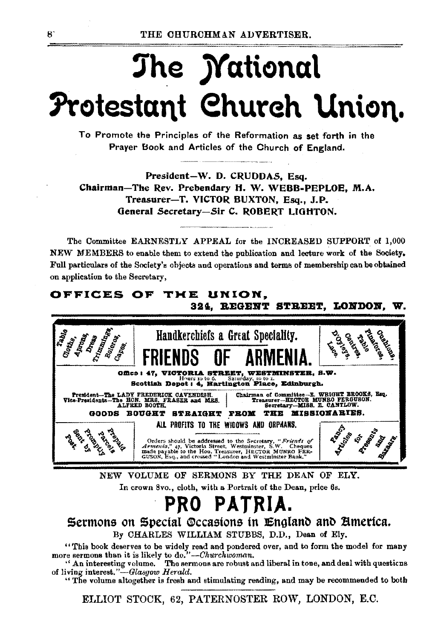# The *Mational* Protestant Church Union.

To Promote the Principles of the Reformation as set forth in the Prayer Book and Articles of the Church of England.

President-W. D. CRUDDAS, Esq. Chairman-The Rev. Prebendary H. W. WEBB-PEPLOE, M.A. Treasurer-T. VICTOR BUXTON, Esq., J.P. General Secretary-Sir C. ROBERT LIGHTON.

The Committee EARNESTLY APPEAL for the INCREASED SUPPORT of 1,000 NEW MEMBERS to enable them to extend the publication and lecture work of the Society. Full particulars of the Society's objects and operations and terms of membership can be obtained on application to the Secretary,

## OFFICES OF THE UNION, 324. REGENT STREET, LONDON, W.



NEW VOLUME OF SERMONS BY THE DEAN OF ELY. In crown 8vo., cloth, with a Portrait of the Dean, price 6s.

# PRO PATRIA.

Sermons on Special Occasions in England and America. By CHARLES WILLIAM STUBBS, D.D., Dean of Ely.

"This book deserves to be widely read and pondered over, and to form the model for many more sermons than it is likely to do."--Churchwoman.

" An interesting volume. The sermons are robust and liberal in tone, and deal with questions of living interest."-Glasgow Herald.

"The volume altogether is fresh and stimulating reading, and may be recommended to both

ELLIOT STOCK, 62, PATERNOSTER ROW, LONDON, E.C.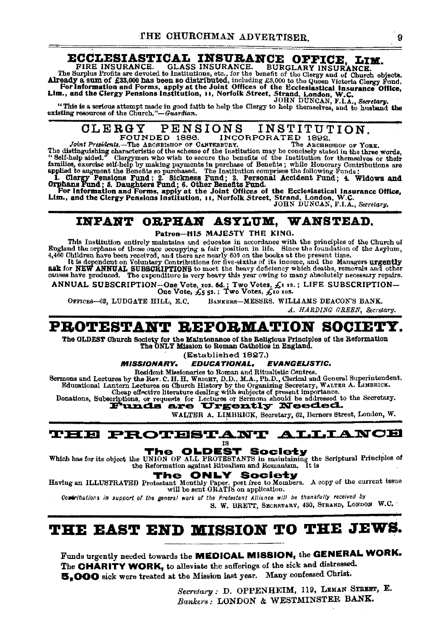**ECCLESIASTICAL INSURANCE OFFICE, LIM.**<br>FIRE INSURANCE. GLASS INSURANCE. BURGLARY INSURANCE.<br>The Surplus Frotts are devoted to Institutions, stc., for the benefit of the Surplus Frotts are devoted to Institutions, stc., fo For Information and Forms, apply at the Joint Offices of the Ecclesiastical Insurance Office, Lim., and the Clergy Pensions Institution, 11, Norfolk Street, Strand, London, W.C.

JOHN DUNCAN, F.I.A., *Secretary.*<br>This is a serious attempt made in good faith to help the Clergy to help themselves, and to husband the<sup>m</sup> "This is a serious attempt made in good faith to help the Clergy to help themselves, and to husband the existing resources of the Church."-Guardian.

CLERGY PENSIONS INSTITUTION.

INCORPORATED 1892. Joint Presidents.-The ARCHBISHOP OF CANTERBURY. The distinguishing characteristic of the scheme of the Institution may be concisely stated in the three words,<br>" Self-help aided." Clergymen who wish to secure the benefits of the Institution for themselves or their families, exercise self-help by making payments in purchase of Benefits; while Honorary Contributions are<br>applied to augment the Benefits so purchased. The Institution comprises the following Funds;<br>1. Clergy Pensions Fund

## INFANT OBPKAH ASYLUM, WANSTEAD.

Patron-HIS MAJESTY THE KING.

This Institution entirely maintains and educates in accordance with the principles of the Church of<br>England the orphans of those onco occupying a fair position in life. Since the foundation of the Asylum,<br>4,400 Children ha

It is dependent on Volumery Contributions for five-sixths of its income, and the Managers urgently ask for New Managers and the Managers urgently said the Managers urgently said the New Managers of the School of the School

ANNUAL SUBSCRIPTION—One Vote, ros. 6d.; Two Votes, £1 xs.; LIFE SUBSCRIPTION—<br>One Vote, £5 5s.; Two Votes, £10 xos.

OFFICES-63, LUDGATE HILL, E.C. BANKERS-MESSRS. WILLIAMS DEACON'S BANK.

*A. HA.lWING GREEN, &cl'elarg.* 

## PROTESTANT REFORMATION SOCIETY.

The OLDEST Church Society for the Maintenance of the Religious Principles of the Reformation The ONLY Mission to Roman catholics In England.

(Established 1827.)

*MISSIONARY. EDUCATIONAL. EVANGELISTIC.* 

Resident Missionaries to Roman and Ritualistic Centres.<br>Retmons and Lectures by the Rev. C. H. H. WEIGET, D.D., M.A., Ph.D., Clerical and General Superintendent. Sermons and Lectures by the Rev. C. H. H. WRIGHT, D.D., M.A., Ph.D., Clerical and General Superintendent.<br>Educational Lantern Lectures on Church History by the Organizing Secretary, WALTER A. LIMBRICK.

Cheap effective literature dealing with subjects of present importance.<br>Donations, Subscriptions, or requests for Lectures or Sermons should be addressed to the Secretary.<br>**Funds are Urgently Needed.** 

WALTER A. LIMBRICK, Secretary, 62, Berners Street, London, W.

 ${\tt THE}\;{\tt PROTBSTANT}\;{\tt ALLIANCB}$ 

**The OLDEST Society**<br>Which has for its object the UNION OF ALL PROTESTANTS in maintaining the Scriptural Principles of<br>the Reformation against Ritualism and Romanism. It is

The ONLY Society<br>
Having an ILLUSTRATED Protestant Monthly Paper, pot free to Members. A copy of the current issue<br>
will be sent GRATIS on application.

Comributions in support of the general work of the Protestant Alliance will be thankfully received by

S. W. BRETT, SECRETARY, 430, STRAND, LONDON W.C.

# THE EAST END MISSION TO THE JEWS.

Funds urgently needed towards the MEDICAL MISSION, the GENERAL WORK. The CHARITY WORK, to alleviate the sufferings of the sick and distressed. &,000 sick were treated at the Mission last year. Many confessed Christ.

> $Secretary: D.$  OPPENHEIM, 119, LEMAN STREET, E. *Bankers:* LONDON & WESTMINSTER BANK.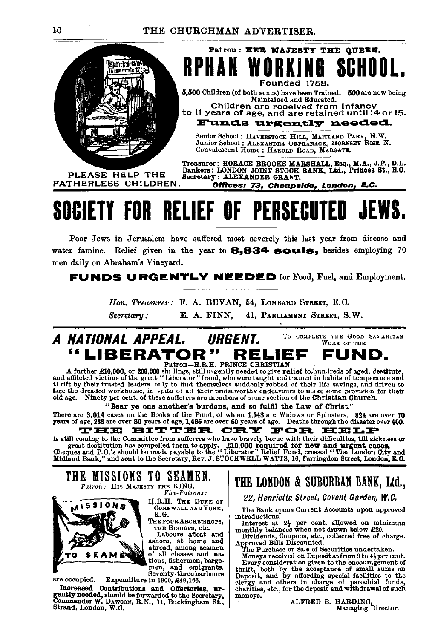

**RPHAN WORKING** SCHOOL Founded 1758.

Patron: HER MAJESTY THE QUEEN.

5,500 Children (of both sexes) have been Trained. 500 are now being Maintained and Educated.

Children are received from Infancy to 11 years of age, and are retained until 14 or 15.

Funds urgently needed.

Senior School: HAVERSTOCK HILL, MAITLAND PARK, N.W.<br>Junior School: ALEXANDRA ORPHANAGE, HORNSEY RISE, N. Convalescent Home: HAROLD ROAD, MARGATE.

PLEASE HELP THE **FATHERLESS CHILDREN.** 

Treasurer: HORACE BROOKS MARSHALL, Esq., M.A., J.P., D.L.<br>Bankers: LONDON JOINT STOOK BANK, Ltd., Princes St., E.O.<br>Secretary: ALEXANDER GRANT.

Offices: 73, Cheapside, London, E.C.

# **SOCIETY FOR RELIEF OF PERSECUTED JEWS.**

Poor Jews in Jerusalem have suffered most severely this last year from disease and water famine. Relief given in the year to 8.834 souls. besides employing 70 men daily on Abraham's Vineyard.

**FUNDS URGENTLY NEEDED** for Food, Fuel, and Employment.

Hon. Treasurer: F. A. BEVAN, 54, LOMBARD STREET, E.C. E. A. FINN, Secretary: 41. PARLIAMENT STREET, S.W.

#### A NATIONAL APPEAL. URGENT. TO COMPLETE THE GOOD SAMARITAN WORK OF THE "LIBERATOR" RELIEF FUND. Patron-H.R.H. PRINCE CHRISTIAN

A further £10,000, or 200,000 shi-lings, still urgently needed to give relief to hundreds of aged, destitute, and afflicted victims of the great "Liberator" fraud, who were taught and t ained in habits of temperance and and annotative victims of the great enterprise and themselves and control the life savings, and driven to their the behavior of the strings, and their trusted leaders, only to find themselves and<br>their praise worthy endeav

"Bear ye one another's burdens, and so fulfil the Law of Christ."

There are 3,014 cases on the Books of the Fund, of whom 1,548 are Widows or Spinsters. 824 are over 70 years of age, 233 are over 80 years of age, 1,486 are over 60 years of age. FOR EELP HE BITTER CRY

is still coming to the Committee from sufferers who have bravely borne with their difficulties, till sickness or s sure committee of the secretary and the secretary of the Secretary of the Secretary of the Secretary of the Secretary of the Secretary Rev. J. STOCKWELL WATTS, 16, Farringdon Street, London City and Midland Bank," and se

THE MISSIONS TO SEAMEN. Patron: HIS MAJESTY THE KING. Vice-Patrons:



are occupied.

H.R.H. THE DUKE OF CORNWALL AND YORK, K.G.

THE FOUR ARCHBISHOPS,

THE BISHOPS, etc.<br>Labours afloat and<br>ashore, at home and<br>abroad, among seamen of all classes and natious, fishermen, bargemen, and emigrants.<br>Seventy-three harbours

Expenditure in 1900, £49,166.

Increased Contributions and Offertories, urgently needed, should be forwarded to the Secretary, Commander W. Dawson, R.N., 11, Buckingham St., Strand, London, W.C.

## THE LONDON & SUBURBAN BANK, Ltd.,

22, Henrietta Street, Covent Garden, W.C.

The Bank opens Current Accounts upon approved introductions

Interest at 21 per cent. allowed on minimum<br>monthly balances when not drawn below £20.

Dividends, Coupons, etc., collected free of charge.<br>Approved Bills Discounted.<br>The Purchase or Sale of Securities undertaken.

Moneys received on Deposit at from 3 to 4} per cent. Every consideration given to the encouragement of thrift, both by the acceptance of small sums on beyonit, and by affording special facilities to the clergy and others in charge of parochial funds, charities, etc., for the deposit and withdrawal of such moneys.

ALFRED B. HARDING, Managing Director.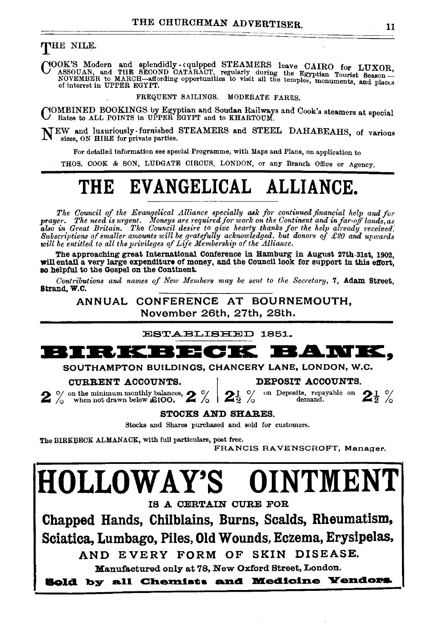### THE NILE.

COOK'S Modern and splendidly cquipped STEAMERS leave CAIRO for LUXOR, ASSOUAN, and THE SECOND CATARACT, regularly during the Egyptian Tourist Season – NOVEMBER to MARCH with a proportunities to visit all the temples, monum of interest in UPPER EGYPT.

#### FREQUENT SAILINGS. MODERATE FARES.

COMBINED BOOKINGS by Egyptian and Soudan Railways and Cook's steamers at special Rates to ALL POINTS in UPPER EGYPT and to KHARTOUM.

NEW and luxuriously-furnished STEAMERS and STEEL DAHABEAHS, of various sizes, ON HIRE for private parties.

For detailed information see special Programme, with Maps and Plans, on application to

THOS. COOK & SON, LUDGATE CIRCUS, LONDON, or any Branch Office or Agency.

# THE EVANGELICAL ALLIANCE.

The Council of the Evangelical Alliance specially ask for continued financial help and for The conduct of the Evangencial Almogue and the Continent and in factoff land for<br>also in Great Britain. The Council desire to give hearty thanks for the Continent and in factoff lands, as<br>also in Great Britain. The Council

The approaching great International Conference in Hamburg in August 27th-31st, 1902, will entail a very large expenditure of money, and the Council look for support in this effort. so helpful to the Gospel on the Continent.

Contributions and names of New Members may be sent to the Secretary, 7, Adam Street, Strand, W.C.

ANNUAL CONFERENCE AT BOURNEMOUTH, November 26th, 27th, 28th.

ESTABLISHED 1851.

#### RJK 3120 K BAWK. 8 Y **FO**

SOUTHAMPTON BUILDINGS, CHANCERY LANE, LONDON, W.C.

#### CURRENT ACCOUNTS.

DEPOSIT ACCOUNTS.

 $2\%$  on the minimum monthly balances,  $2\%$ 

on Deposits, repayable on  $2\frac{1}{2}$  % demand.

**STOCKS AND SHARES.** 

Stocks and Shares purchased and sold for customers.

The BIRKBECK ALMANACK, with full particulars, post free.

FRANCIS RAVENSCROFT, Manager.

# **HOLLOWAY'S** OINTMENT

IS A CERTAIN CURE FOR

Chapped Hands, Chilblains, Burns, Scalds, Rheumatism, Sciatica, Lumbago, Piles, Old Wounds, Eczema, Erysipelas,

AND EVERY FORM OF SKIN DISEASE.

Manufactured only at 78, New Oxford Street, London.

**Sold by all Chemists and Medicine Yendors**